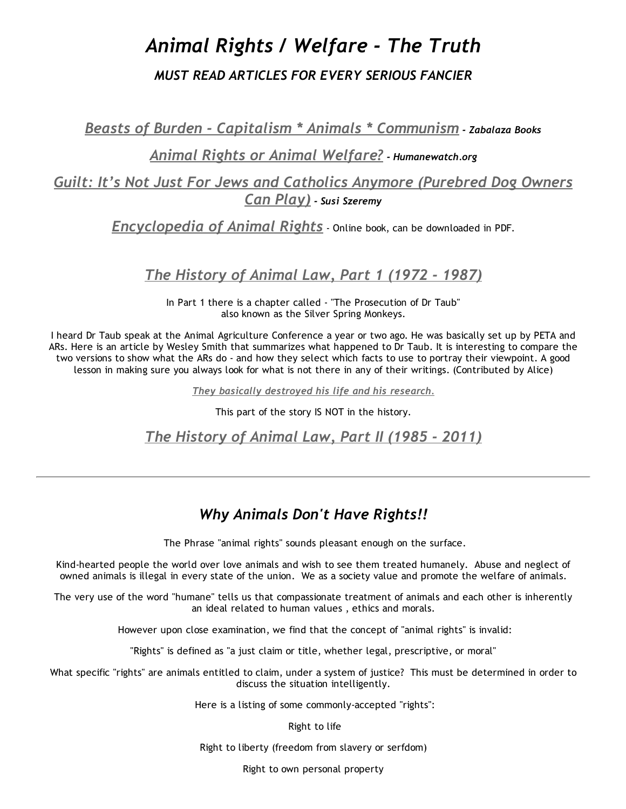# *Animal Rights / Welfare ‐ The Truth*

### *MUST READ ARTICLES FOR EVERY SERIOUS FANCIER*

*Beasts of Burden ‐ Capitalism \* Animals \* [Communism](http://zabalazabooks.files.wordpress.com/2011/08/beasts_of_burden_capitalism_animals_communism.pdf) ‐ Zabalaza Books*

### *Animal Rights or Animal [Welfare?](http://www.humanewatch.org/humane_bites_265/) ‐ Humanewatch.org*

*Guilt: It's Not Just For Jews and Catholics Anymore [\(Purebred](http://www.naiaonline.org/articles/article/guilt-purebred-dog-owners-can-play#.T6PEr9mZXiE.facebook) Dog Owners Can Play) ‐ Susi Szeremy*

*[Encyclopedia](http://www.beknowledge.com/wp-content/uploads/2010/12/c81e7Encyclopedia%20of%20Animal%20Rights%20and%20Animal%20Welfare.pdf) of Animal Rights* ‐ Online book, can be downloaded in PDF.

## *The [History](http://www.aldf.org/downloads/Tischler_StanfordJournalVol1.pdf) of Animal Law, Part 1 (1972 ‐ 1987)*

In Part 1 there is a chapter called ‐ "The Prosecution of Dr Taub" also known as the Silver Spring Monkeys.

I heard Dr Taub speak at the Animal Agriculture Conference a year or two ago. He was basically set up by PETA and ARs. Here is an article by Wesley Smith that summarizes what happened to Dr Taub. It is interesting to compare the two versions to show what the ARs do ‐ and how they select which facts to use to portray their viewpoint. A good lesson in making sure you always look for what is not there in any of their writings. (Contributed by Alice)

*They basically [destroyed](http://www.discovery.org/a/1798) his life and his research.*

This part of the story IS NOT in the history.

*The [History](https://journals.law.stanford.edu/sites/default/files/print/issues/tischler2.pdf) of Animal Law, Part II (1985 ‐ 2011)*

## *Why Animals Don't Have Rights!!*

The Phrase "animal rights" sounds pleasant enough on the surface.

Kind‐hearted people the world over love animals and wish to see them treated humanely. Abuse and neglect of owned animals is illegal in every state of the union. We as a society value and promote the welfare of animals.

The very use of the word "humane" tells us that compassionate treatment of animals and each other is inherently an ideal related to human values , ethics and morals.

However upon close examination, we find that the concept of "animal rights" is invalid:

"Rights" is defined as "a just claim or title, whether legal, prescriptive, or moral"

What specific "rights" are animals entitled to claim, under a system of justice? This must be determined in order to discuss the situation intelligently.

Here is a listing of some commonly-accepted "rights":

Right to life

Right to liberty (freedom from slavery or serfdom)

Right to own personal property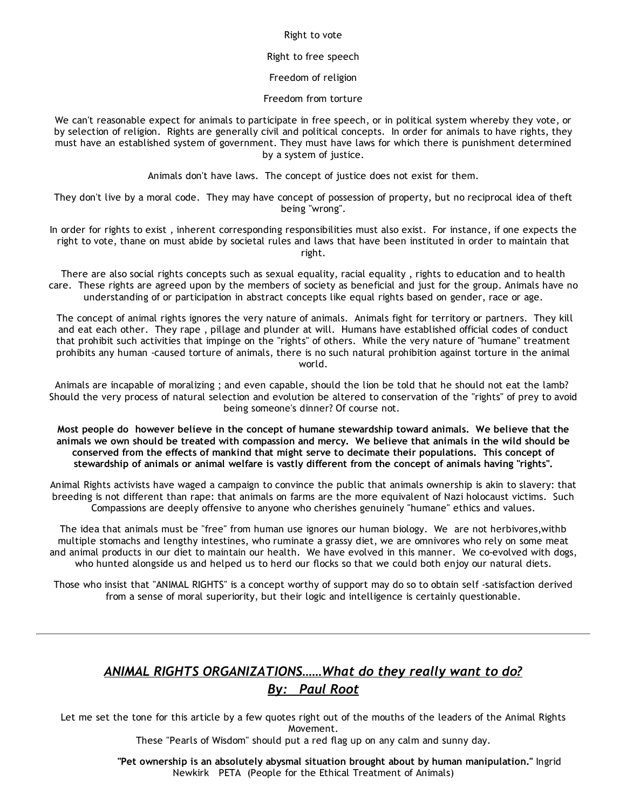#### Right to vote

### Right to free speech

Freedom of religion

Freedom from torture

We can't reasonable expect for animals to participate in free speech, or in political system whereby they vote, or by selection of religion. Rights are generally civil and political concepts. In order for animals to have rights, they must have an established system of government. They must have laws for which there is punishment determined by a system of justice.

Animals don't have laws. The concept of justice does not exist for them.

They don't live by a moral code. They may have concept of possession of property, but no reciprocal idea of theft being "wrong".

In order for rights to exist , inherent corresponding responsibilities must also exist. For instance, if one expects the right to vote, thane on must abide by societal rules and laws that have been instituted in order to maintain that right.

There are also social rights concepts such as sexual equality, racial equality , rights to education and to health care. These rights are agreed upon by the members of society as beneficial and just for the group. Animals have no understanding of or participation in abstract concepts like equal rights based on gender, race or age.

The concept of animal rights ignores the very nature of animals. Animals fight for territory or partners. They kill and eat each other. They rape , pillage and plunder at will. Humans have established official codes of conduct that prohibit such activities that impinge on the "rights" of others. While the very nature of "humane" treatment prohibits any human ‐caused torture of animals, there is no such natural prohibition against torture in the animal world.

Animals are incapable of moralizing ; and even capable, should the lion be told that he should not eat the lamb? Should the very process of natural selection and evolution be altered to conservation of the "rights" of prey to avoid being someone's dinner? Of course not.

Most people do however believe in the concept of humane stewardship toward animals. We believe that the animals we own should be treated with compassion and mercy. We believe that animals in the wild should be conserved from the effects of mankind that might serve to decimate their populations. This concept of stewardship of animals or animal welfare is vastly different from the concept of animals having "rights".

Animal Rights activists have waged a campaign to convince the public that animals ownership is akin to slavery: that breeding is not different than rape: that animals on farms are the more equivalent of Nazi holocaust victims. Such Compassions are deeply offensive to anyone who cherishes genuinely "humane" ethics and values.

The idea that animals must be "free" from human use ignores our human biology. We are not herbivores,withb multiple stomachs and lengthy intestines, who ruminate a grassy diet, we are omnivores who rely on some meat and animal products in our diet to maintain our health. We have evolved in this manner. We co‐evolved with dogs, who hunted alongside us and helped us to herd our flocks so that we could both enjoy our natural diets.

Those who insist that "ANIMAL RIGHTS" is a concept worthy of support may do so to obtain self ‐satisfaction derived from a sense of moral superiority, but their logic and intelligence is certainly questionable.

## *ANIMAL RIGHTS ORGANIZATIONS……What do they really want to do? By: Paul Root*

Let me set the tone for this article by a few quotes right out of the mouths of the leaders of the Animal Rights Movement.

These "Pearls of Wisdom" should put a red flag up on any calm and sunny day.

"Pet ownership is an absolutely abysmal situation brought about by human manipulation." Ingrid Newkirk PETA (People for the Ethical Treatment of Animals)